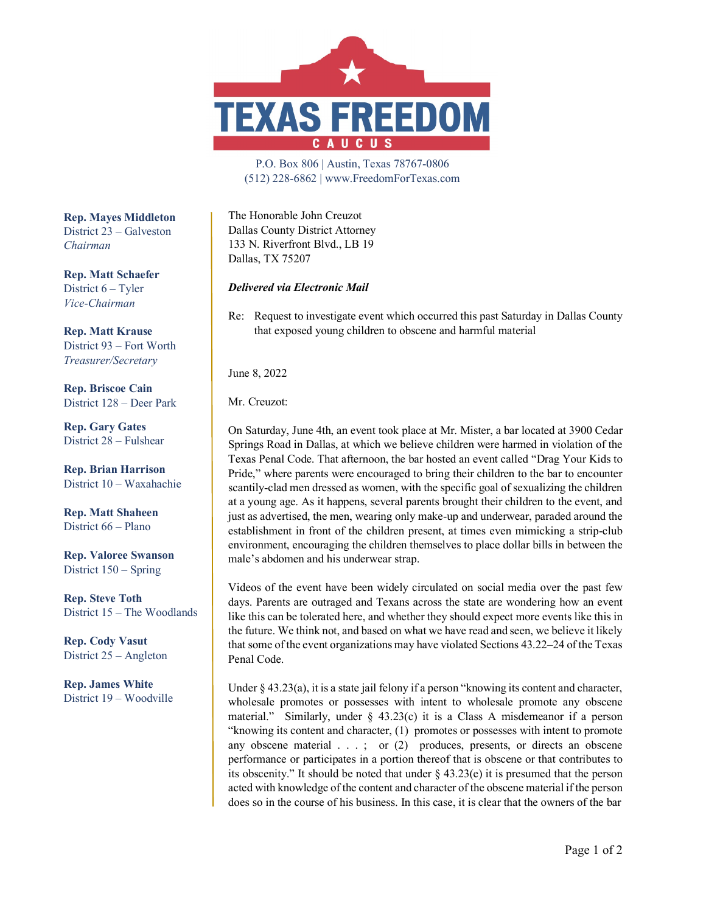

P.O. Box 806 | Austin, Texas 78767-0806 (512) 228-6862 | www.FreedomForTexas.com

The Honorable John Creuzot Dallas County District Attorney 133 N. Riverfront Blvd., LB 19 Dallas, TX 75207

*Delivered via Electronic Mail*

Re: Request to investigate event which occurred this past Saturday in Dallas County that exposed young children to obscene and harmful material

June 8, 2022

Mr. Creuzot:

On Saturday, June 4th, an event took place at Mr. Mister, a bar located at 3900 Cedar Springs Road in Dallas, at which we believe children were harmed in violation of the Texas Penal Code. That afternoon, the bar hosted an event called "Drag Your Kids to Pride," where parents were encouraged to bring their children to the bar to encounter scantily-clad men dressed as women, with the specific goal of sexualizing the children at a young age. As it happens, several parents brought their children to the event, and just as advertised, the men, wearing only make-up and underwear, paraded around the establishment in front of the children present, at times even mimicking a strip-club environment, encouraging the children themselves to place dollar bills in between the male's abdomen and his underwear strap.

Videos of the event have been widely circulated on social media over the past few days. Parents are outraged and Texans across the state are wondering how an event like this can be tolerated here, and whether they should expect more events like this in the future. We think not, and based on what we have read and seen, we believe it likely that some of the event organizations may have violated Sections 43.22–24 of the Texas Penal Code.

Under § 43.23(a), it is a state jail felony if a person "knowing its content and character, wholesale promotes or possesses with intent to wholesale promote any obscene material." Similarly, under  $\S$  43.23(c) it is a Class A misdemeanor if a person "knowing its content and character, (1) promotes or possesses with intent to promote any obscene material . . . ; or (2) produces, presents, or directs an obscene performance or participates in a portion thereof that is obscene or that contributes to its obscenity." It should be noted that under § 43.23(e) it is presumed that the person acted with knowledge of the content and character of the obscene material if the person does so in the course of his business. In this case, it is clear that the owners of the bar

**Rep. Mayes Middleton** District 23 – Galveston *Chairman*

**Rep. Matt Schaefer** District 6 – Tyler *Vice-Chairman*

**Rep. Matt Krause** District 93 – Fort Worth *Treasurer/Secretary*

**Rep. Briscoe Cain** District 128 – Deer Park

**Rep. Gary Gates** District 28 – Fulshear

**Rep. Brian Harrison** District 10 – Waxahachie

**Rep. Matt Shaheen** District 66 – Plano

**Rep. Valoree Swanson** District 150 – Spring

**Rep. Steve Toth** District 15 – The Woodlands

**Rep. Cody Vasut** District 25 – Angleton

**Rep. James White** District 19 – Woodville